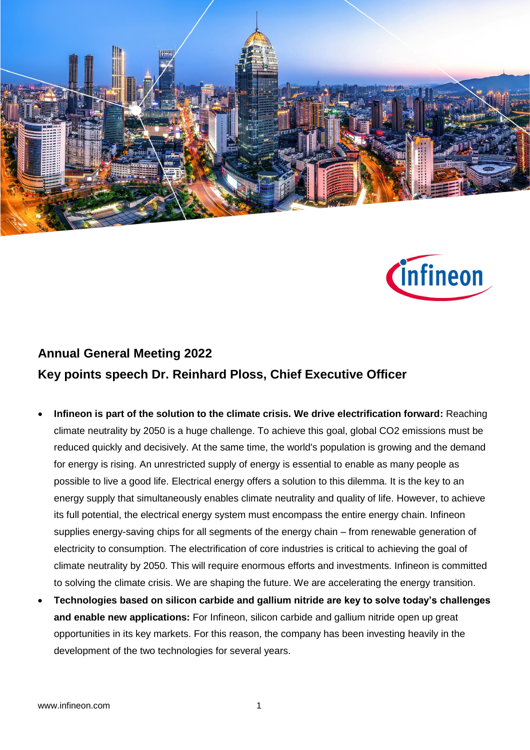



## **Annual General Meeting 2022 Key points speech Dr. Reinhard Ploss, Chief Executive Officer**

- **Infineon is part of the solution to the climate crisis. We drive electrification forward:** Reaching climate neutrality by 2050 is a huge challenge. To achieve this goal, global CO2 emissions must be reduced quickly and decisively. At the same time, the world's population is growing and the demand for energy is rising. An unrestricted supply of energy is essential to enable as many people as possible to live a good life. Electrical energy offers a solution to this dilemma. It is the key to an energy supply that simultaneously enables climate neutrality and quality of life. However, to achieve its full potential, the electrical energy system must encompass the entire energy chain. Infineon supplies energy-saving chips for all segments of the energy chain – from renewable generation of electricity to consumption. The electrification of core industries is critical to achieving the goal of climate neutrality by 2050. This will require enormous efforts and investments. Infineon is committed to solving the climate crisis. We are shaping the future. We are accelerating the energy transition.
- **Technologies based on silicon carbide and gallium nitride are key to solve today's challenges and enable new applications:** For Infineon, silicon carbide and gallium nitride open up great opportunities in its key markets. For this reason, the company has been investing heavily in the development of the two technologies for several years.